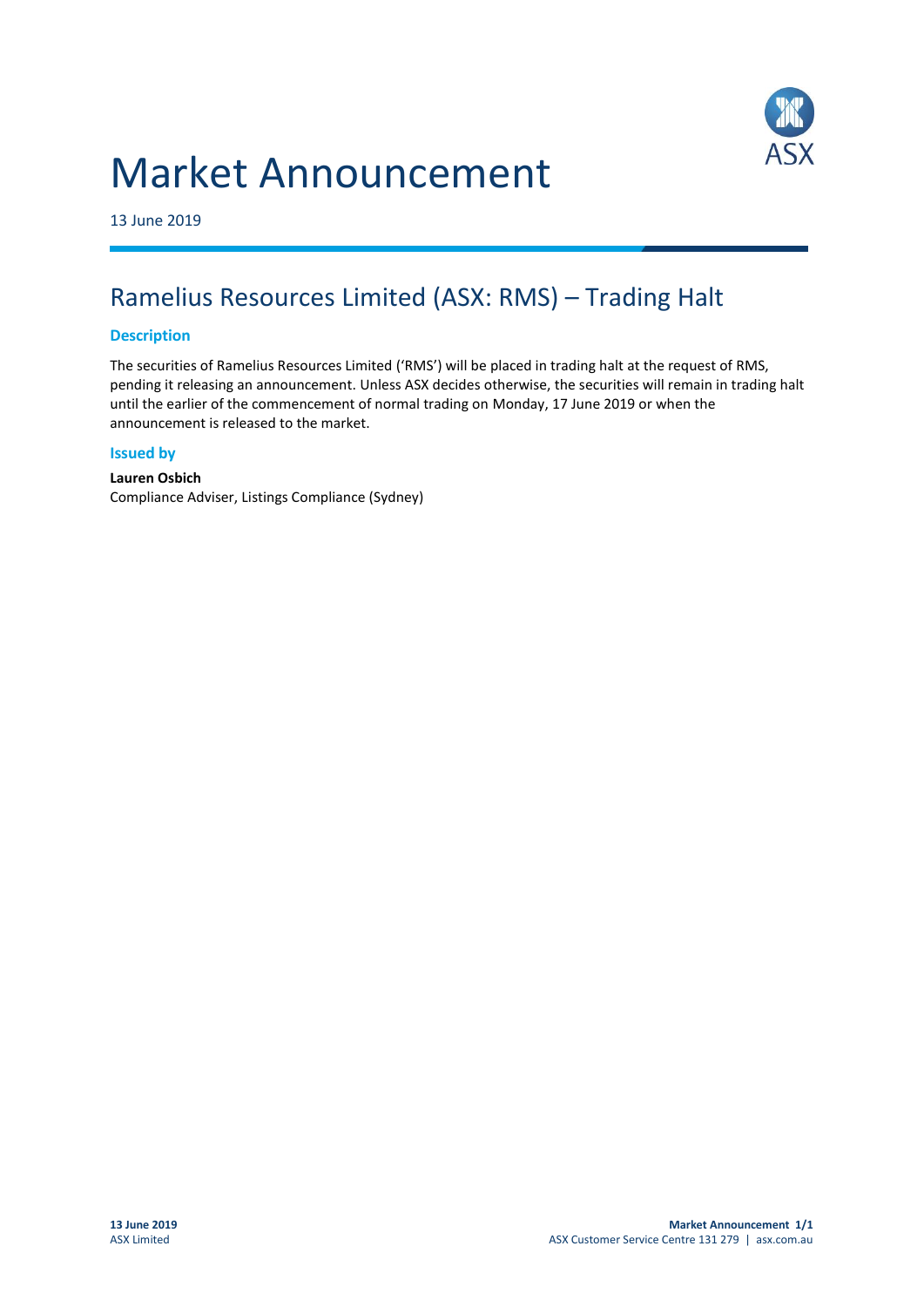# Market Announcement



13 June 2019

### Ramelius Resources Limited (ASX: RMS) – Trading Halt

#### **Description**

The securities of Ramelius Resources Limited ('RMS') will be placed in trading halt at the request of RMS, pending it releasing an announcement. Unless ASX decides otherwise, the securities will remain in trading halt until the earlier of the commencement of normal trading on Monday, 17 June 2019 or when the announcement is released to the market.

#### **Issued by**

**Lauren Osbich** Compliance Adviser, Listings Compliance (Sydney)